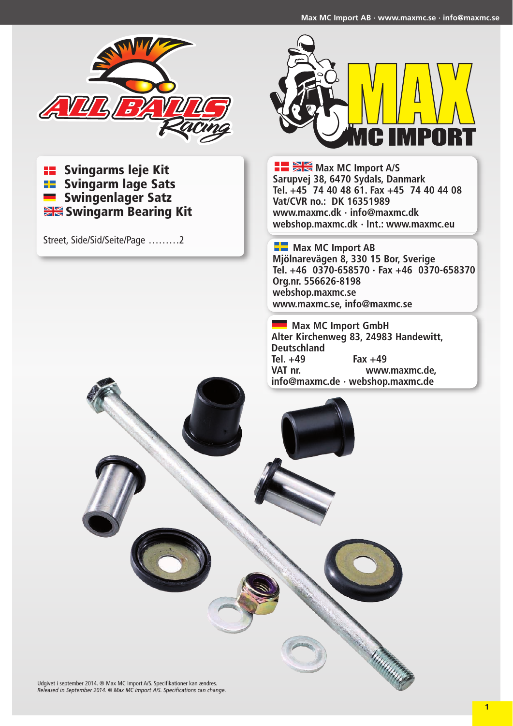

## **Svingarms leje Kit Expared Solution Sats Swingenlager Satz SK** Swingarm Bearing Kit

Street, Side/Sid/Seite/Page ………2



**Max MC Import A/S Sarupvej 38, 6470 Sydals, Danmark Tel. +45 74 40 48 61. Fax +45 74 40 44 08 Vat/CVR no.: DK 16351989 www.maxmc.dk · info@maxmc.dk webshop.maxmc.dk · Int.: www.maxmc.eu**

**Max MC Import AB Mjölnarevägen 8, 330 15 Bor, Sverige Tel. +46 0370-658570 · Fax +46 0370-658370 Org.nr. 556626-8198 webshop.maxmc.se www.maxmc.se, info@maxmc.se**

**ARANTISTICS** 

**Max MC Import GmbH Alter Kirchenweg 83, 24983 Handewitt, Deutschland Tel. +49 Fax +49 VAT nr. www.maxmc.de, info@maxmc.de · webshop.maxmc.de**

Udgivet i september 2014. ® Max MC Import A/S. Specifikationer kan ændres. *Released in September 2014. ® Max MC Import A/S. Specifications can change.*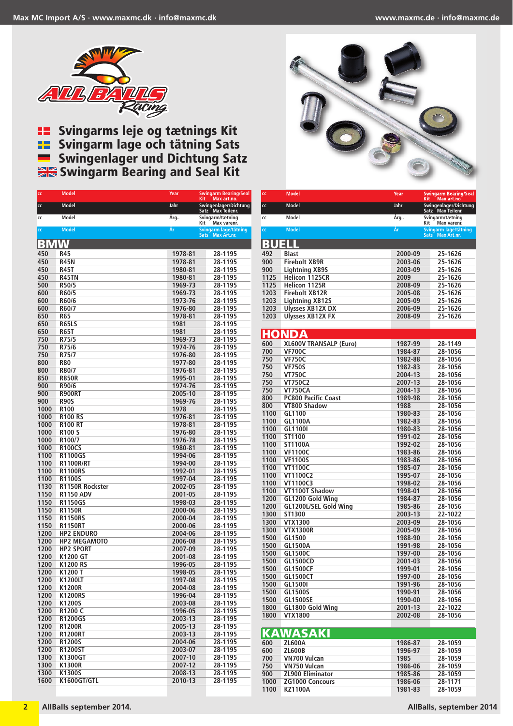

 **Svingarms leje og tætnings Kit Svingarm lage och tätning Sats Example 1 Swingenlager und Dichtung Satz SWING** Swingarm Bearing and Seal Kit

| cc           | Model                    | Year               | <b>Swingarm Bearing/Seal</b><br>Max art.no.<br>Kit         |  |  |  |  |  |  |  |
|--------------|--------------------------|--------------------|------------------------------------------------------------|--|--|--|--|--|--|--|
| cc           | <b>Model</b>             | Jahr               | Swingenlager/Dichtung<br>Satz Max Teilenr.                 |  |  |  |  |  |  |  |
| cc           | Model                    | Årg                | Svingarm/tætning<br>Kit<br>Max varenr.                     |  |  |  |  |  |  |  |
| cc           | <b>Model</b>             | Ăr                 | <b>Svingarm lage/tätning</b><br><b>Sats</b><br>Max Art.nr. |  |  |  |  |  |  |  |
| <b>BMW</b>   |                          |                    |                                                            |  |  |  |  |  |  |  |
| 450          | <b>R45</b>               | 1978-81            | 28-1195                                                    |  |  |  |  |  |  |  |
| 450          | <b>R45N</b>              | 1978-81            | 28-1195                                                    |  |  |  |  |  |  |  |
| 450          | <b>R45T</b>              | 1980-81            | 28-1195                                                    |  |  |  |  |  |  |  |
| 450          | R45TN                    | 1980-81            | 28-1195                                                    |  |  |  |  |  |  |  |
| 500<br>600   | R50/5<br>R60/5           | 1969-73<br>1969-73 | 28-1195<br>28-1195                                         |  |  |  |  |  |  |  |
| 600          | R60/6                    | 1973-76            | 28-1195                                                    |  |  |  |  |  |  |  |
| 600          | R60/7                    | 1976-80            | 28-1195                                                    |  |  |  |  |  |  |  |
| 650          | <b>R65</b>               | 1978-81            | 28-1195                                                    |  |  |  |  |  |  |  |
| 650          | <b>R65LS</b>             | 1981               | 28-1195                                                    |  |  |  |  |  |  |  |
| 650          | <b>R65T</b>              | 1981               | 28-1195                                                    |  |  |  |  |  |  |  |
| 750          | R75/5                    | 1969-73            | 28-1195                                                    |  |  |  |  |  |  |  |
| 750          | R75/6                    | 1974-76            | 28-1195                                                    |  |  |  |  |  |  |  |
| 750          | R75/7                    | 1976-80            | 28-1195                                                    |  |  |  |  |  |  |  |
| 800          | <b>R80</b>               | 1977-80            | 28-1195                                                    |  |  |  |  |  |  |  |
| 800          | R80/7                    | 1976-81            | 28-1195                                                    |  |  |  |  |  |  |  |
| 850<br>900   | <b>R850R</b><br>R90/6    | 1995-01<br>1974-76 | 28-1195<br>28-1195                                         |  |  |  |  |  |  |  |
| 900          | <b>R900RT</b>            | 2005-10            | 28-1195                                                    |  |  |  |  |  |  |  |
| 900          | <b>R90S</b>              | 1969-76            | 28-1195                                                    |  |  |  |  |  |  |  |
| 1000         | R <sub>100</sub>         | 1978               | 28-1195                                                    |  |  |  |  |  |  |  |
| 1000         | <b>R100 RS</b>           | 1976-81            | 28-1195                                                    |  |  |  |  |  |  |  |
| 1000         | <b>R100 RT</b>           | 1978-81            | 28-1195                                                    |  |  |  |  |  |  |  |
| 1000         | <b>R100 S</b>            | 1976-80            | 28-1195                                                    |  |  |  |  |  |  |  |
| 1000         | R100/7                   | 1976-78            | 28-1195                                                    |  |  |  |  |  |  |  |
| 1000         | <b>R100CS</b>            | 1980-81            | 28-1195                                                    |  |  |  |  |  |  |  |
| 1100         | <b>R1100GS</b>           | 1994-06            | 28-1195                                                    |  |  |  |  |  |  |  |
| 1100         | <b>R1100R/RT</b>         | 1994-00            | 28-1195                                                    |  |  |  |  |  |  |  |
| 1100<br>1100 | <b>R1100RS</b><br>R1100S | 1992-01<br>1997-04 | 28-1195<br>28-1195                                         |  |  |  |  |  |  |  |
| 1130         | <b>R1150R Rockster</b>   | 2002-05            | 28-1195                                                    |  |  |  |  |  |  |  |
| 1150         | <b>R1150 ADV</b>         | 2001-05            | 28-1195                                                    |  |  |  |  |  |  |  |
| 1150         | <b>R1150GS</b>           | 1998-03            | 28-1195                                                    |  |  |  |  |  |  |  |
| 1150         | <b>R1150R</b>            | 2000-06            | 28-1195                                                    |  |  |  |  |  |  |  |
| 1150         | <b>R1150RS</b>           | 2000-04            | 28-1195                                                    |  |  |  |  |  |  |  |
| 1150         | <b>R1150RT</b>           | 2000-06            | 28-1195                                                    |  |  |  |  |  |  |  |
| 1200         | <b>HP2 ENDURO</b>        | 2004-06            | 28-1195                                                    |  |  |  |  |  |  |  |
| 1200         | <b>HP2 MEGAMOTO</b>      | 2006-08            | 28-1195                                                    |  |  |  |  |  |  |  |
| 1200         | <b>HP2 SPORT</b>         | 2007-09            | 28-1195                                                    |  |  |  |  |  |  |  |
| 1200         | K1200 GT<br>K1200 RS     | 2001-08            | 28-1195                                                    |  |  |  |  |  |  |  |
| 1200<br>1200 | K1200 T                  | 1996-05<br>1998-05 | 28-1195<br>28-1195                                         |  |  |  |  |  |  |  |
| 1200         | K1200LT                  | 1997-08            | 28-1195                                                    |  |  |  |  |  |  |  |
| 1200         | <b>K1200R</b>            | 2004-08            | 28-1195                                                    |  |  |  |  |  |  |  |
| 1200         | <b>K1200RS</b>           | 1996-04            | 28-1195                                                    |  |  |  |  |  |  |  |
| 1200         | K1200S                   | 2003-08            | 28-1195                                                    |  |  |  |  |  |  |  |
| 1200         | R1200 C                  | 1996-05            | 28-1195                                                    |  |  |  |  |  |  |  |
| 1200         | <b>R1200GS</b>           | 2003-13            | 28-1195                                                    |  |  |  |  |  |  |  |
| 1200         | <b>R1200R</b>            | 2005-13            | 28-1195                                                    |  |  |  |  |  |  |  |
| 1200         | <b>R1200RT</b>           | 2003-13            | 28-1195                                                    |  |  |  |  |  |  |  |
| 1200         | R1200S                   | 2004-06            | 28-1195                                                    |  |  |  |  |  |  |  |
| 1200         | <b>R1200ST</b>           | 2003-07            | 28-1195                                                    |  |  |  |  |  |  |  |
| 1300         | K1300GT                  | 2007-10            | 28-1195                                                    |  |  |  |  |  |  |  |
| 1300<br>1300 | <b>K1300R</b><br>K1300S  | 2007-12<br>2008-13 | 28-1195<br>28-1195                                         |  |  |  |  |  |  |  |
| 1600         | <b>K1600GT/GTL</b>       | 2010-13            | 28-1195                                                    |  |  |  |  |  |  |  |
|              |                          |                    |                                                            |  |  |  |  |  |  |  |



| cc           | <b>Model</b>               | Year    | <b>Swingarm Bearing/Seal</b><br>Max art.no.<br>Kit |
|--------------|----------------------------|---------|----------------------------------------------------|
| cc           | <b>Model</b>               | Jahr    | Swingenlager/Dichtung                              |
|              |                            |         | Satz Max Teilenr.                                  |
| cc           | Model                      | Årg     | Svingarm/tætning<br>Kit<br>Max varenr.             |
| cc           | <b>Model</b>               | Ăr      | <b>Svingarm lage/tätning</b>                       |
|              |                            |         | Sats <sup>-</sup><br>Max Art.nr.                   |
| <b>BUELI</b> |                            |         |                                                    |
| 492          | Blast                      | 2000-09 | 25-1626                                            |
| 900          | <b>Firebolt XB9R</b>       | 2003-06 | 25-1626                                            |
| 900          | <b>Lightning XB9S</b>      | 2003-09 | 25-1626                                            |
| 1125         | <b>Helicon 1125CR</b>      | 2009    | 25-1626                                            |
| 1125         | <b>Helicon 1125R</b>       | 2008-09 | 25-1626                                            |
| 1203         | <b>Firebolt XB12R</b>      | 2005-08 | 25-1626                                            |
| 1203         | Lightning XB12S            | 2005-09 | 25-1626                                            |
| 1203         | Ulysses XB12X DX           | 2006-09 | 25-1626                                            |
| 1203         | Ulysses XB12X FX           | 2008-09 | 25-1626                                            |
|              |                            |         |                                                    |
|              | <b>HONDA</b>               |         |                                                    |
| 600          | XL600V TRANSALP (Euro)     | 1987-99 | 28-1149                                            |
| 700          | <b>VF700C</b>              | 1984-87 | 28-1056                                            |
| 750          | <b>VF750C</b>              | 1982-88 | 28-1056                                            |
| 750          | <b>VF750S</b>              | 1982-83 | 28-1056                                            |
| 750          | <b>VT750C</b>              | 2004-13 | 28-1056                                            |
| 750          | <b>VT750C2</b>             | 2007-13 | 28-1056                                            |
| 750          | <b>VT750CA</b>             | 2004-13 | 28-1056                                            |
| 800          | <b>PC800 Pacific Coast</b> | 1989-98 | 28-1056                                            |
| 800          | VT800 Shadow               | 1988    | 28-1056                                            |
| 1100         | GL1100                     | 1980-83 | 28-1056                                            |
| 1100         | <b>GL1100A</b>             | 1982-83 | 28-1056                                            |
| 1100         | GL1100I                    | 1980-83 | 28-1056                                            |
| 1100         | ST1100                     | 1991-02 | 28-1056                                            |
| 1100         | <b>ST1100A</b>             | 1992-02 | 28-1056                                            |
| 1100         | <b>VF1100C</b>             | 1983-86 | 28-1056                                            |
| 1100         | <b>VF1100S</b>             | 1983-86 | 28-1056                                            |
| 1100         | <b>VT1100C</b>             | 1985-07 | 28-1056                                            |
| 1100         | VT1100C2                   | 1995-07 | 28-1056                                            |
| 1100         | VT1100C3                   | 1998-02 | 28-1056                                            |
| 1100         | VT1100T Shadow             | 1998-01 | 28-1056                                            |
| 1200         | GL1200 Gold Wing           | 1984-87 | 28-1056                                            |
| 1200         | GL1200L/SEL Gold Wing      | 1985-86 | 28-1056                                            |
| 1300         | ST1300                     | 2003-13 | 22-1022                                            |
| 1300         | <b>VTX1300</b>             | 2003-09 | 28-1056                                            |
| 1300         | <b>VTX1300R</b>            | 2005-09 | 28-1056                                            |
| 1500         | GL1500                     | 1988-90 | 28-1056                                            |
| 1500         | <b>GL1500A</b>             | 1991-98 | 28-1056                                            |
| 1500         | GL1500C                    | 1997-00 | 28-1056                                            |
| 1500         | <b>GL1500CD</b>            | 2001-03 | 28-1056                                            |
| 1500         | <b>GL1500CF</b>            | 1999-01 | 28-1056                                            |
| 1500         | <b>GL1500CT</b>            | 1997-00 | 28-1056                                            |
| 1500         | GL1500I                    | 1991-96 | 28-1056                                            |
| 1500         | GL1500S                    | 1990-91 | 28-1056                                            |
| 1500         | <b>GL1500SE</b>            | 1990-00 | 28-1056                                            |
| 1800         | GL1800 Gold Wing           | 2001-13 | 22-1022                                            |
| 1800         | <b>VTX1800</b>             | 2002-08 | 28-1056                                            |
|              |                            |         |                                                    |
|              |                            |         |                                                    |
| <b>KA</b>    | WASAKI                     |         |                                                    |
| 600          | ZL600A                     | 1986-87 | 28-1059                                            |
| 600          | <b>ZL600B</b>              | 1996-97 | 28-1059                                            |
| 700          | VN700 Vulcan               | 1985    | 28-1059                                            |
| 750          | VN750 Vulcan               | 1986-06 | 28-1059                                            |
| 900          | <b>ZL900 Eliminator</b>    | 1985-86 | 28-1059                                            |

**900 ZL900 Eliminator 1985-86 28-1059 1000 ZG1000 Concours 1986-06 28-1171**

**1100 KZ1100A 1981-83 28-1059**